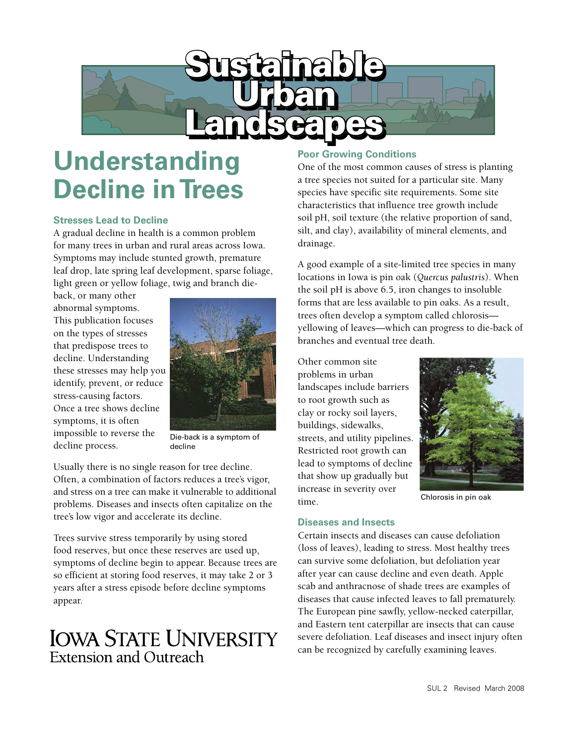

# **Understanding Decline in Trees**

#### **Stresses Lead to Decline**

A gradual decline in health is a common problem for many trees in urban and rural areas across Iowa. Symptoms may include stunted growth, premature leaf drop, late spring leaf development, sparse foliage, light green or yellow foliage, twig and branch die-

back, or many other abnormal symptoms. This publication focuses on the types of stresses that predispose trees to decline. Understanding these stresses may help you identify, prevent, or reduce stress-causing factors. Once a tree shows decline symptoms, it is often impossible to reverse the decline process.



Die-back is a symptom of decline

Usually there is no single reason for tree decline. Often, a combination of factors reduces a tree's vigor, and stress on a tree can make it vulnerable to additional problems. Diseases and insects often capitalize on the tree's low vigor and accelerate its decline.

Trees survive stress temporarily by using stored food reserves, but once these reserves are used up, symptoms of decline begin to appear. Because trees are so efficient at storing food reserves, it may take 2 or 3 years after a stress episode before decline symptoms appear.

# **IOWA STATE UNIVERSITY Extension and Outreach**

# **Poor Growing Conditions**

One of the most common causes of stress is planting a tree species not suited for a particular site. Many species have specific site requirements. Some site characteristics that influence tree growth include soil pH, soil texture (the relative proportion of sand, silt, and clay), availability of mineral elements, and drainage.

A good example of a site-limited tree species in many locations in Iowa is pin oak (*Quercus palustris*). When the soil pH is above 6.5, iron changes to insoluble forms that are less available to pin oaks. As a result, trees often develop a symptom called chlorosis yellowing of leaves—which can progress to die-back of branches and eventual tree death.

Other common site problems in urban landscapes include barriers to root growth such as clay or rocky soil layers, buildings, sidewalks, streets, and utility pipelines. Restricted root growth can lead to symptoms of decline that show up gradually but increase in severity over time.



Chlorosis in pin oak

## **Diseases and Insects**

Certain insects and diseases can cause defoliation (loss of leaves), leading to stress. Most healthy trees can survive some defoliation, but defoliation year after year can cause decline and even death. Apple scab and anthracnose of shade trees are examples of diseases that cause infected leaves to fall prematurely. The European pine sawfly, yellow-necked caterpillar, and Eastern tent caterpillar are insects that can cause severe defoliation. Leaf diseases and insect injury often can be recognized by carefully examining leaves.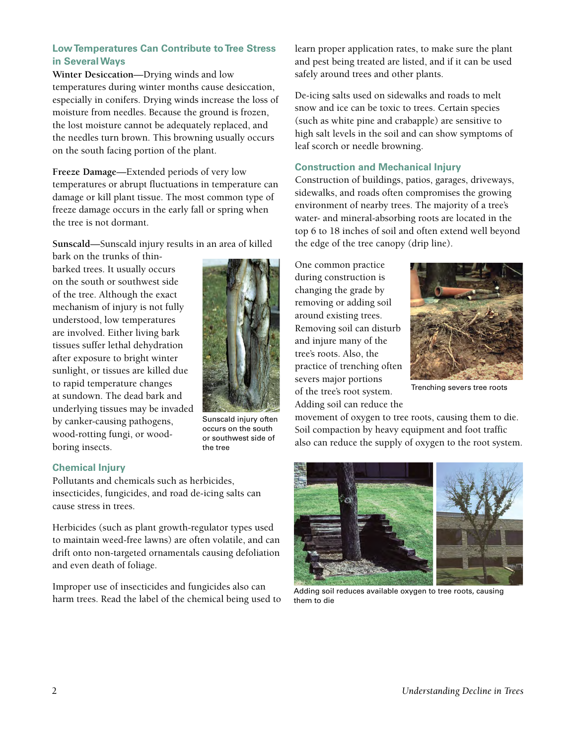# **Low Temperatures Can Contribute to Tree Stress in Several Ways**

**Winter Desiccation**—Drying winds and low temperatures during winter months cause desiccation, especially in conifers. Drying winds increase the loss of moisture from needles. Because the ground is frozen, the lost moisture cannot be adequately replaced, and the needles turn brown. This browning usually occurs on the south facing portion of the plant.

**Freeze Damage**—Extended periods of very low temperatures or abrupt fluctuations in temperature can damage or kill plant tissue. The most common type of freeze damage occurs in the early fall or spring when the tree is not dormant.

**Sunscald**—Sunscald injury results in an area of killed

bark on the trunks of thinbarked trees. It usually occurs on the south or southwest side of the tree. Although the exact mechanism of injury is not fully understood, low temperatures are involved. Either living bark tissues suffer lethal dehydration after exposure to bright winter sunlight, or tissues are killed due to rapid temperature changes at sundown. The dead bark and underlying tissues may be invaded by canker-causing pathogens, wood-rotting fungi, or woodboring insects.



Sunscald injury often occurs on the south or southwest side of the tree

# **Chemical Injury**

Pollutants and chemicals such as herbicides, insecticides, fungicides, and road de-icing salts can cause stress in trees.

Herbicides (such as plant growth-regulator types used to maintain weed-free lawns) are often volatile, and can drift onto non-targeted ornamentals causing defoliation and even death of foliage.

Improper use of insecticides and fungicides also can harm trees. Read the label of the chemical being used to learn proper application rates, to make sure the plant and pest being treated are listed, and if it can be used safely around trees and other plants.

De-icing salts used on sidewalks and roads to melt snow and ice can be toxic to trees. Certain species (such as white pine and crabapple) are sensitive to high salt levels in the soil and can show symptoms of leaf scorch or needle browning.

#### **Construction and Mechanical Injury**

Construction of buildings, patios, garages, driveways, sidewalks, and roads often compromises the growing environment of nearby trees. The majority of a tree's water- and mineral-absorbing roots are located in the top 6 to 18 inches of soil and often extend well beyond the edge of the tree canopy (drip line).

One common practice during construction is changing the grade by removing or adding soil around existing trees. Removing soil can disturb and injure many of the tree's roots. Also, the practice of trenching often severs major portions of the tree's root system. Adding soil can reduce the



Trenching severs tree roots

movement of oxygen to tree roots, causing them to die. Soil compaction by heavy equipment and foot traffic also can reduce the supply of oxygen to the root system.



Adding soil reduces available oxygen to tree roots, causing them to die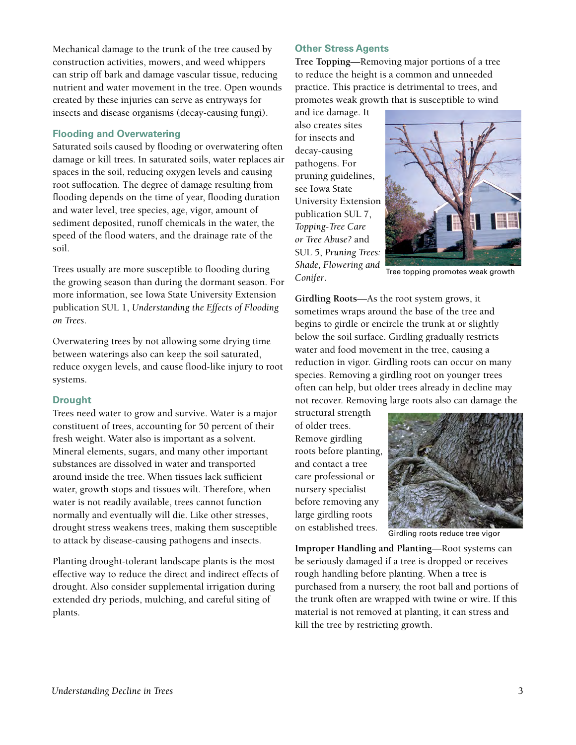Mechanical damage to the trunk of the tree caused by construction activities, mowers, and weed whippers can strip off bark and damage vascular tissue, reducing nutrient and water movement in the tree. Open wounds created by these injuries can serve as entryways for insects and disease organisms (decay-causing fungi).

## **Flooding and Overwatering**

Saturated soils caused by flooding or overwatering often damage or kill trees. In saturated soils, water replaces air spaces in the soil, reducing oxygen levels and causing root suffocation. The degree of damage resulting from flooding depends on the time of year, flooding duration and water level, tree species, age, vigor, amount of sediment deposited, runoff chemicals in the water, the speed of the flood waters, and the drainage rate of the soil.

Trees usually are more susceptible to flooding during the growing season than during the dormant season. For more information, see Iowa State University Extension publication SUL 1, *Understanding the Effects of Flooding on Trees*.

Overwatering trees by not allowing some drying time between waterings also can keep the soil saturated, reduce oxygen levels, and cause flood-like injury to root systems.

## **Drought**

Trees need water to grow and survive. Water is a major constituent of trees, accounting for 50 percent of their fresh weight. Water also is important as a solvent. Mineral elements, sugars, and many other important substances are dissolved in water and transported around inside the tree. When tissues lack sufficient water, growth stops and tissues wilt. Therefore, when water is not readily available, trees cannot function normally and eventually will die. Like other stresses, drought stress weakens trees, making them susceptible to attack by disease-causing pathogens and insects.

Planting drought-tolerant landscape plants is the most effective way to reduce the direct and indirect effects of drought. Also consider supplemental irrigation during extended dry periods, mulching, and careful siting of plants.

# **Other Stress Agents**

**Tree Topping**—Removing major portions of a tree to reduce the height is a common and unneeded practice. This practice is detrimental to trees, and promotes weak growth that is susceptible to wind

and ice damage. It also creates sites for insects and decay-causing pathogens. For pruning guidelines, see Iowa State University Extension publication SUL 7, *Topping-Tree Care or Tree Abuse?* and SUL 5, *Pruning Trees: Shade, Flowering and Conifer*.



Tree topping promotes weak growth

**Girdling Roots**—As the root system grows, it sometimes wraps around the base of the tree and begins to girdle or encircle the trunk at or slightly below the soil surface. Girdling gradually restricts water and food movement in the tree, causing a reduction in vigor. Girdling roots can occur on many species. Removing a girdling root on younger trees often can help, but older trees already in decline may not recover. Removing large roots also can damage the

structural strength of older trees. Remove girdling roots before planting, and contact a tree care professional or nursery specialist before removing any large girdling roots on established trees.



Girdling roots reduce tree vigor

**Improper Handling and Planting**—Root systems can be seriously damaged if a tree is dropped or receives rough handling before planting. When a tree is purchased from a nursery, the root ball and portions of the trunk often are wrapped with twine or wire. If this material is not removed at planting, it can stress and kill the tree by restricting growth.